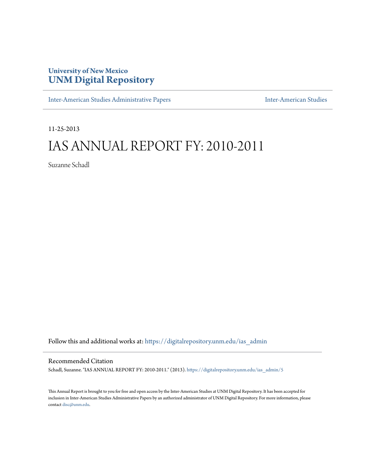## **University of New Mexico [UNM Digital Repository](https://digitalrepository.unm.edu?utm_source=digitalrepository.unm.edu%2Fias_admin%2F5&utm_medium=PDF&utm_campaign=PDFCoverPages)**

[Inter-American Studies Administrative Papers](https://digitalrepository.unm.edu/ias_admin?utm_source=digitalrepository.unm.edu%2Fias_admin%2F5&utm_medium=PDF&utm_campaign=PDFCoverPages) **[Inter-American Studies](https://digitalrepository.unm.edu/ias?utm_source=digitalrepository.unm.edu%2Fias_admin%2F5&utm_medium=PDF&utm_campaign=PDFCoverPages)** Inter-American Studies

11-25-2013

# IAS ANNUAL REPORT FY: 2010-2011

Suzanne Schadl

Follow this and additional works at: [https://digitalrepository.unm.edu/ias\\_admin](https://digitalrepository.unm.edu/ias_admin?utm_source=digitalrepository.unm.edu%2Fias_admin%2F5&utm_medium=PDF&utm_campaign=PDFCoverPages)

#### Recommended Citation

Schadl, Suzanne. "IAS ANNUAL REPORT FY: 2010-2011." (2013). [https://digitalrepository.unm.edu/ias\\_admin/5](https://digitalrepository.unm.edu/ias_admin/5?utm_source=digitalrepository.unm.edu%2Fias_admin%2F5&utm_medium=PDF&utm_campaign=PDFCoverPages)

This Annual Report is brought to you for free and open access by the Inter-American Studies at UNM Digital Repository. It has been accepted for inclusion in Inter-American Studies Administrative Papers by an authorized administrator of UNM Digital Repository. For more information, please contact [disc@unm.edu.](mailto:disc@unm.edu)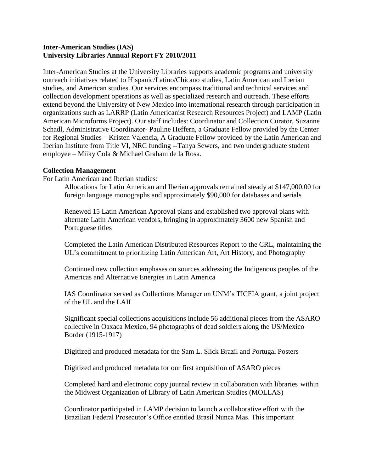#### **Inter-American Studies (IAS) University Libraries Annual Report FY 2010/2011**

Inter-American Studies at the University Libraries supports academic programs and university outreach initiatives related to Hispanic/Latino/Chicano studies, Latin American and Iberian studies, and American studies. Our services encompass traditional and technical services and collection development operations as well as specialized research and outreach. These efforts extend beyond the University of New Mexico into international research through participation in organizations such as LARRP (Latin Americanist Research Resources Project) and LAMP (Latin American Microforms Project). Our staff includes: Coordinator and Collection Curator, Suzanne Schadl, Administrative Coordinator- Pauline Heffern, a Graduate Fellow provided by the Center for Regional Studies – Kristen Valencia, A Graduate Fellow provided by the Latin American and Iberian Institute from Title VI, NRC funding --Tanya Sewers, and two undergraduate student employee – Miiky Cola & Michael Graham de la Rosa.

#### **Collection Management**

For Latin American and Iberian studies:

Allocations for Latin American and Iberian approvals remained steady at \$147,000.00 for foreign language monographs and approximately \$90,000 for databases and serials

Renewed 15 Latin American Approval plans and established two approval plans with alternate Latin American vendors, bringing in approximately 3600 new Spanish and Portuguese titles

Completed the Latin American Distributed Resources Report to the CRL, maintaining the UL's commitment to prioritizing Latin American Art, Art History, and Photography

Continued new collection emphases on sources addressing the Indigenous peoples of the Americas and Alternative Energies in Latin America

IAS Coordinator served as Collections Manager on UNM's TICFIA grant, a joint project of the UL and the LAII

Significant special collections acquisitions include 56 additional pieces from the ASARO collective in Oaxaca Mexico, 94 photographs of dead soldiers along the US/Mexico Border (1915-1917)

Digitized and produced metadata for the Sam L. Slick Brazil and Portugal Posters

Digitized and produced metadata for our first acquisition of ASARO pieces

Completed hard and electronic copy journal review in collaboration with libraries within the Midwest Organization of Library of Latin American Studies (MOLLAS)

Coordinator participated in LAMP decision to launch a collaborative effort with the Brazilian Federal Prosecutor's Office entitled Brasil Nunca Mas. This important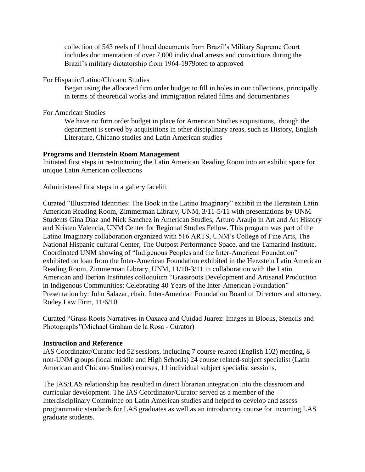collection of 543 reels of filmed documents from Brazil's Military Supreme Court includes documentation of over 7,000 individual arrests and convictions during the Brazil's military dictatorship from 1964-1979oted to approved

#### For Hispanic/Latino/Chicano Studies

Began using the allocated firm order budget to fill in holes in our collections, principally in terms of theoretical works and immigration related films and documentaries

For American Studies

We have no firm order budget in place for American Studies acquisitions, though the department is served by acquisitions in other disciplinary areas, such as History, English Literature, Chicano studies and Latin American studies

#### **Programs and Herzstein Room Management**

Initiated first steps in restructuring the Latin American Reading Room into an exhibit space for unique Latin American collections

#### Administered first steps in a gallery facelift

Curated "Illustrated Identities: The Book in the Latino Imaginary" exhibit in the Herzstein Latin American Reading Room, Zimmerman Library, UNM, 3/11-5/11 with presentations by UNM Students Gina Diaz and Nick Sanchez in American Studies, Arturo Araujo in Art and Art History and Kristen Valencia, UNM Center for Regional Studies Fellow. This program was part of the Latino Imaginary collaboration organized with 516 ARTS, UNM's College of Fine Arts, The National Hispanic cultural Center, The Outpost Performance Space, and the Tamarind Institute. Coordinated UNM showing of "Indigenous Peoples and the Inter-American Foundation" exhibited on loan from the Inter-American Foundation exhibited in the Herzstein Latin American Reading Room, Zimmerman Library, UNM, 11/10-3/11 in collaboration with the Latin American and Iberian Institutes colloquium "Grassroots Development and Artisanal Production in Indigenous Communities: Celebrating 40 Years of the Inter-American Foundation" Presentation by: John Salazar, chair, Inter-American Foundation Board of Directors and attorney, Rodey Law Firm, 11/6/10

Curated "Grass Roots Narratives in Oaxaca and Cuidad Juarez: Images in Blocks, Stencils and Photographs"(Michael Graham de la Rosa - Curator)

#### **Instruction and Reference**

IAS Coordinator/Curator led 52 sessions, including 7 course related (English 102) meeting, 8 non-UNM groups (local middle and High Schools) 24 course related-subject specialist (Latin American and Chicano Studies) courses, 11 individual subject specialist sessions.

The IAS/LAS relationship has resulted in direct librarian integration into the classroom and curricular development. The IAS Coordinator/Curator served as a member of the Interdisciplinary Committee on Latin American studies and helped to develop and assess programmatic standards for LAS graduates as well as an introductory course for incoming LAS graduate students.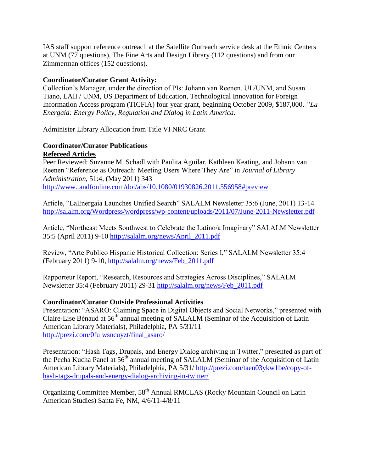IAS staff support reference outreach at the Satellite Outreach service desk at the Ethnic Centers at UNM (77 questions), The Fine Arts and Design Library (112 questions) and from our Zimmerman offices (152 questions).

#### **Coordinator/Curator Grant Activity:**

Collection's Manager, under the direction of PIs: Johann van Reenen, UL/UNM, and Susan Tiano, LAII / UNM, US Department of Education, Technological Innovation for Foreign Information Access program (TICFIA) four year grant, beginning October 2009, \$187,000. *"La Energaia: Energy Policy, Regulation and Dialog in Latin America.*

Administer Library Allocation from Title VI NRC Grant

### **Coordinator/Curator Publications Refereed Articles**

Peer Reviewed: Suzanne M. Schadl with Paulita Aguilar, Kathleen Keating, and Johann van Reenen "Reference as Outreach: Meeting Users Where They Are" in *Journal of Library Administration*, 51:4, (May 2011) 343 <http://www.tandfonline.com/doi/abs/10.1080/01930826.2011.556958#preview>

Article, "LaEnergaia Launches Unified Search" SALALM Newsletter 35:6 (June, 2011) 13-14 <http://salalm.org/Wordpress/wordpress/wp-content/uploads/2011/07/June-2011-Newsletter.pdf>

Article, "Northeast Meets Southwest to Celebrate the Latino/a Imaginary" SALALM Newsletter 35:5 (April 2011) 9-10 [http://salalm.org/news/April\\_2011.pdf](http://salalm.org/news/April_2011.pdf)

Review, "Arte Publico Hispanic Historical Collection: Series I," SALALM Newsletter 35:4 (February 2011) 9-10, [http://salalm.org/news/Feb\\_2011.pdf](http://salalm.org/news/Feb_2011.pdf)

Rapporteur Report, "Research, Resources and Strategies Across Disciplines," SALALM Newsletter 35:4 (February 2011) 29-31 [http://salalm.org/news/Feb\\_2011.pdf](http://salalm.org/news/Feb_2011.pdf)

#### **Coordinator/Curator Outside Professional Activities**

Presentation: "ASARO: Claiming Space in Digital Objects and Social Networks," presented with Claire-Lise Bénaud at 56<sup>th</sup> annual meeting of SALALM (Seminar of the Acquisition of Latin American Library Materials), Philadelphia, PA 5/31/11 [http://prezi.com/0fulwsncuyzt/final\\_asaro/](http://prezi.com/0fulwsncuyzt/final_asaro/)

Presentation: "Hash Tags, Drupals, and Energy Dialog archiving in Twitter," presented as part of the Pecha Kucha Panel at 56<sup>th</sup> annual meeting of SALALM (Seminar of the Acquisition of Latin American Library Materials), Philadelphia, PA 5/31/ [http://prezi.com/taen03ykw1be/copy-of](http://prezi.com/taen03ykw1be/copy-of-hash-tags-drupals-and-energy-dialog-archiving-in-twitter/)[hash-tags-drupals-and-energy-dialog-archiving-in-twitter/](http://prezi.com/taen03ykw1be/copy-of-hash-tags-drupals-and-energy-dialog-archiving-in-twitter/)

Organizing Committee Member, 58<sup>th</sup> Annual RMCLAS (Rocky Mountain Council on Latin American Studies) Santa Fe, NM, 4/6/11-4/8/11